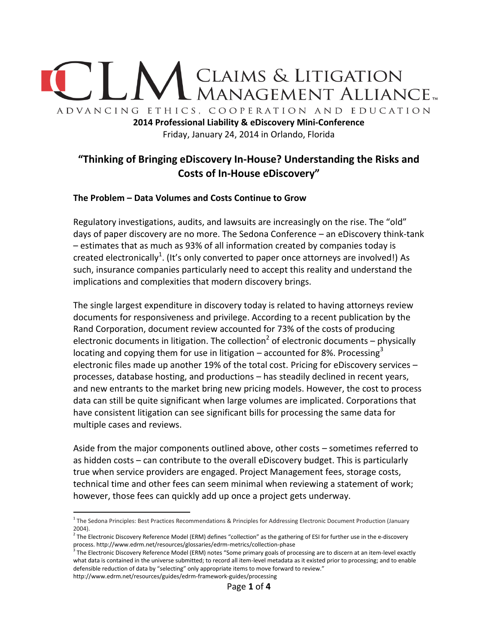

**2014 Professional Liability & eDiscovery Mini-Conference**  Friday, January 24, 2014 in Orlando, Florida

# **"Thinking of Bringing eDiscovery In-House? Understanding the Risks and Costs of In-House eDiscovery"**

#### **The Problem – Data Volumes and Costs Continue to Grow**

Regulatory investigations, audits, and lawsuits are increasingly on the rise. The "old" days of paper discovery are no more. The Sedona Conference – an eDiscovery think-tank – estimates that as much as 93% of all information created by companies today is created electronically<sup>1</sup>. (It's only converted to paper once attorneys are involved!) As such, insurance companies particularly need to accept this reality and understand the implications and complexities that modern discovery brings.

The single largest expenditure in discovery today is related to having attorneys review documents for responsiveness and privilege. According to a recent publication by the Rand Corporation, document review accounted for 73% of the costs of producing electronic documents in litigation. The collection<sup>2</sup> of electronic documents – physically locating and copying them for use in litigation – accounted for 8%. Processing<sup>3</sup> electronic files made up another 19% of the total cost. Pricing for eDiscovery services – processes, database hosting, and productions – has steadily declined in recent years, and new entrants to the market bring new pricing models. However, the cost to process data can still be quite significant when large volumes are implicated. Corporations that have consistent litigation can see significant bills for processing the same data for multiple cases and reviews.

Aside from the major components outlined above, other costs – sometimes referred to as hidden costs – can contribute to the overall eDiscovery budget. This is particularly true when service providers are engaged. Project Management fees, storage costs, technical time and other fees can seem minimal when reviewing a statement of work; however, those fees can quickly add up once a project gets underway.

 $\overline{a}$ 

<sup>&</sup>lt;sup>1</sup> The Sedona Principles: Best Practices Recommendations & Principles for Addressing Electronic Document Production (January 2004).<br><sup>2</sup> The Electronic Discovery Reference Model (ERM) defines "collection" as the gathering of ESI for further use in the e-discovery

process. http://www.edrm.net/resources/glossaries/edrm-metrics/collection-phase<br><sup>3</sup> The Electronic Discovery Reference Model (ERM) notes "Some primary goals of processing are to discern at an item-level exactly

what data is contained in the universe submitted; to record all item-level metadata as it existed prior to processing; and to enable defensible reduction of data by "selecting" only appropriate items to move forward to review." http://www.edrm.net/resources/guides/edrm-framework-guides/processing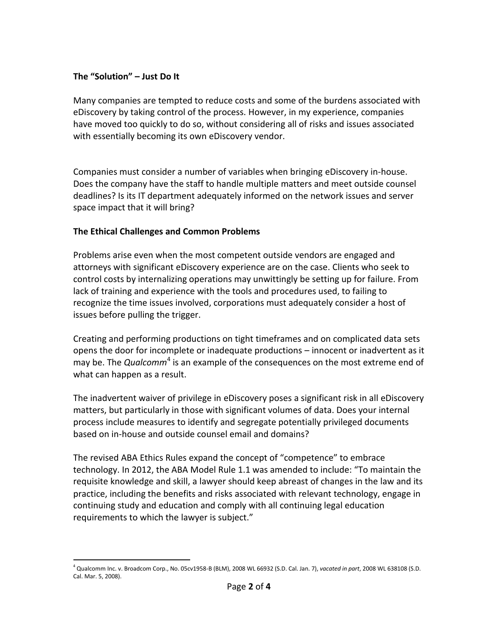### **The "Solution" – Just Do It**

Many companies are tempted to reduce costs and some of the burdens associated with eDiscovery by taking control of the process. However, in my experience, companies have moved too quickly to do so, without considering all of risks and issues associated with essentially becoming its own eDiscovery vendor.

Companies must consider a number of variables when bringing eDiscovery in-house. Does the company have the staff to handle multiple matters and meet outside counsel deadlines? Is its IT department adequately informed on the network issues and server space impact that it will bring?

#### **The Ethical Challenges and Common Problems**

Problems arise even when the most competent outside vendors are engaged and attorneys with significant eDiscovery experience are on the case. Clients who seek to control costs by internalizing operations may unwittingly be setting up for failure. From lack of training and experience with the tools and procedures used, to failing to recognize the time issues involved, corporations must adequately consider a host of issues before pulling the trigger.

Creating and performing productions on tight timeframes and on complicated data sets opens the door for incomplete or inadequate productions – innocent or inadvertent as it may be. The *Qualcomm*<sup>4</sup> is an example of the consequences on the most extreme end of what can happen as a result.

The inadvertent waiver of privilege in eDiscovery poses a significant risk in all eDiscovery matters, but particularly in those with significant volumes of data. Does your internal process include measures to identify and segregate potentially privileged documents based on in-house and outside counsel email and domains?

The revised ABA Ethics Rules expand the concept of "competence" to embrace technology. In 2012, the ABA Model Rule 1.1 was amended to include: "To maintain the requisite knowledge and skill, a lawyer should keep abreast of changes in the law and its practice, including the benefits and risks associated with relevant technology, engage in continuing study and education and comply with all continuing legal education requirements to which the lawyer is subject."

 $\overline{a}$ <sup>4</sup> Qualcomm Inc. v. Broadcom Corp., No. 05cv1958-B (BLM), 2008 WL 66932 (S.D. Cal. Jan. 7), *vacated in part*, 2008 WL 638108 (S.D. Cal. Mar. 5, 2008).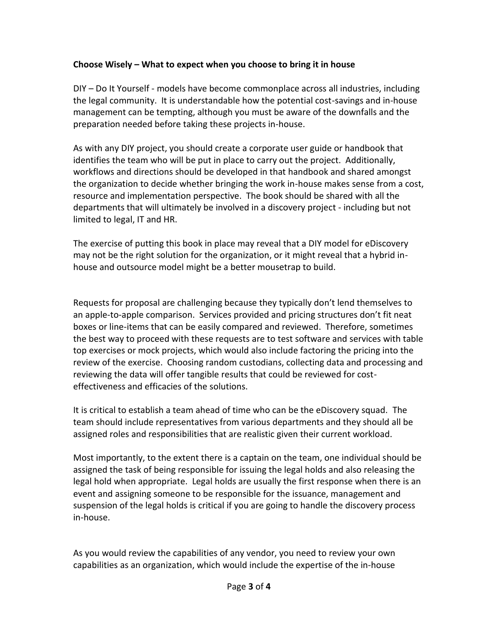### **Choose Wisely – What to expect when you choose to bring it in house**

DIY – Do It Yourself - models have become commonplace across all industries, including the legal community. It is understandable how the potential cost-savings and in-house management can be tempting, although you must be aware of the downfalls and the preparation needed before taking these projects in-house.

As with any DIY project, you should create a corporate user guide or handbook that identifies the team who will be put in place to carry out the project. Additionally, workflows and directions should be developed in that handbook and shared amongst the organization to decide whether bringing the work in-house makes sense from a cost, resource and implementation perspective. The book should be shared with all the departments that will ultimately be involved in a discovery project - including but not limited to legal, IT and HR.

The exercise of putting this book in place may reveal that a DIY model for eDiscovery may not be the right solution for the organization, or it might reveal that a hybrid inhouse and outsource model might be a better mousetrap to build.

Requests for proposal are challenging because they typically don't lend themselves to an apple-to-apple comparison. Services provided and pricing structures don't fit neat boxes or line-items that can be easily compared and reviewed. Therefore, sometimes the best way to proceed with these requests are to test software and services with table top exercises or mock projects, which would also include factoring the pricing into the review of the exercise. Choosing random custodians, collecting data and processing and reviewing the data will offer tangible results that could be reviewed for costeffectiveness and efficacies of the solutions.

It is critical to establish a team ahead of time who can be the eDiscovery squad. The team should include representatives from various departments and they should all be assigned roles and responsibilities that are realistic given their current workload.

Most importantly, to the extent there is a captain on the team, one individual should be assigned the task of being responsible for issuing the legal holds and also releasing the legal hold when appropriate. Legal holds are usually the first response when there is an event and assigning someone to be responsible for the issuance, management and suspension of the legal holds is critical if you are going to handle the discovery process in-house.

As you would review the capabilities of any vendor, you need to review your own capabilities as an organization, which would include the expertise of the in-house